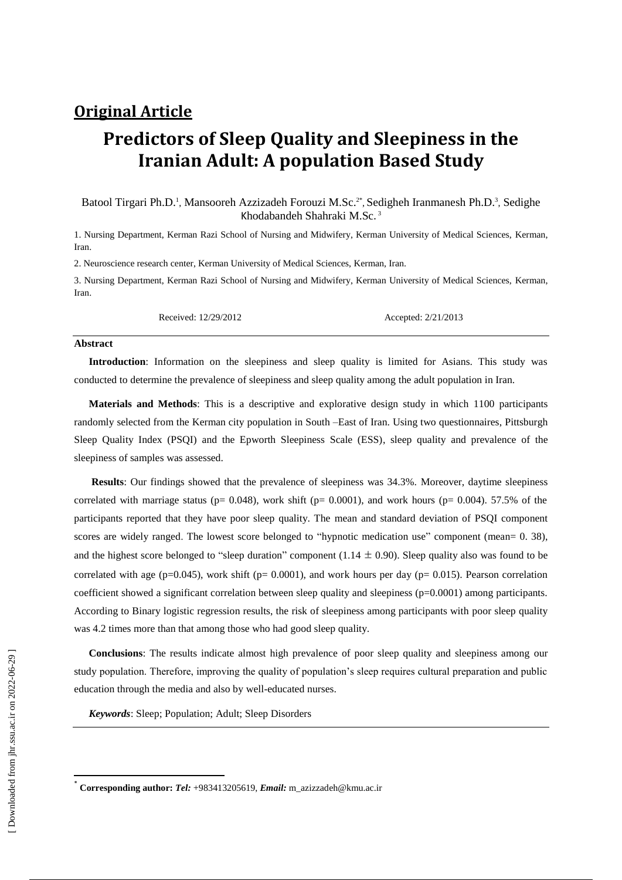## **Original Article**

# **Predictors of Sleep Quality and Sleepiness in the Iranian Adult: A population Based Study**

Batool Tirgari Ph.D.<sup>1</sup>, Mansooreh Azzizadeh Forouzi M.Sc.<sup>2\*</sup>, Sedigheh Iranmanesh Ph.D.<sup>3</sup>, Sedighe Khodabandeh Shahraki M.Sc. 3

1. Nursing Department, Kerman Razi School of Nursing and Midwifery, Kerman University of Medical Sciences, Kerman, Iran.

2. Neuroscience research center, Kerman University of Medical Sciences, Kerman, Iran.

3. Nursing Department, Kerman Razi School of Nursing and Midwifery, Kerman University of Medical Sciences, Kerman, **Iran** 

Received: 12/29/2012 Accepted: 2/21/2013

#### **Abstract**

**Introduction**: Information on the sleepiness and sleep quality is limited for Asians. This study was conducted to determine the prevalence of sleepiness and sleep quality among the adult population in Iran.

**Materials and Methods**: This is a descriptive and explorative design study in which 1100 participants randomly selected from the Kerman city population in South –East of Iran. Using two questionnaires, Pittsburgh Sleep Quality Index (PSQI) and the Epworth Sleepiness Scale (ESS), sleep quality and prevalence of the sleepiness of samples was assessed.

**Results**: Our findings showed that the prevalence of sleepiness was 34.3%. Moreover, daytime sleepiness correlated with marriage status ( $p= 0.048$ ), work shift ( $p= 0.0001$ ), and work hours ( $p= 0.004$ ). 57.5% of the participants reported that they have poor sleep quality. The mean and standard deviation of PSQI component scores are widely ranged. The lowest score belonged to "hypnotic medication use" component (mean= 0. 38), and the highest score belonged to "sleep duration" component (1.14  $\pm$  0.90). Sleep quality also was found to be correlated with age (p=0.045), work shift (p= 0.0001), and work hours per day (p= 0.015). Pearson correlation coefficient showed a significant correlation between sleep quality and sleepiness ( $p=0.0001$ ) among participants. According to Binary logistic regression results, the risk of sleepiness among participants with poor sleep quality was 4.2 times more than that among those who had good sleep quality.

**Conclusions**: The results indicate almost high prevalence of poor sleep quality and sleepiness among our study population. Therefore, improving the quality of population's sleep requires cultural preparation and public education through the media and also by well-educated nurses.

*Keywords*: [Sleep;](http://www.ncbi.nlm.nih.gov/mesh/68012890) Population; Adult; Sleep Disorders

 $\overline{a}$ 

<sup>\*</sup> **Corresponding author:** *Tel:* +983413205619, *Email:* [m\\_azizzadeh@kmu.ac.ir](mailto:m_azizzadeh@kmu.ac.ir)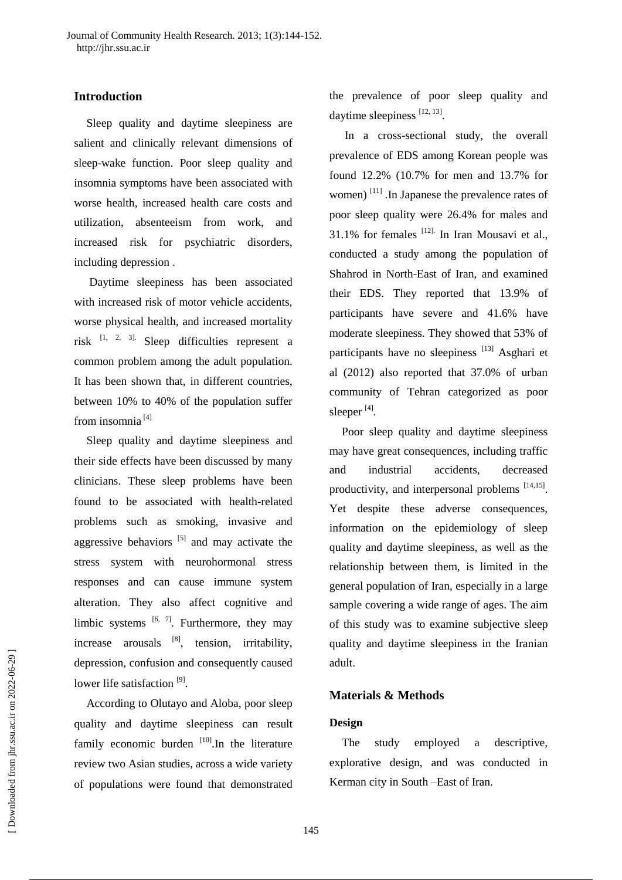### **Introduction**

Sleep quality and daytime sleepiness are salient and clinically relevant dimensions of sleep-wake function. Poor sleep quality and insomnia symptoms have been associated with worse health, increased health care costs and utilization, absenteeism from work, and increased risk for psychiatric disorders, including depression .

Daytime sleepiness has been associated with increased risk of motor vehicle accidents, worse physical health, and increased mortality risk  $[1, 2, 3]$ . Sleep difficulties represent a common problem among the adult population. It has been shown that, in different countries, between 10% to 40% of the population suffer from insomnia<sup>[4]</sup>

Sleep quality and daytime sleepiness and their side effects have been discussed by many clinicians. These sleep problems have been found to be associated with health-related problems such as smoking, invasive and aggressive behaviors  $^{[5]}$  and may activate the stress system with neurohormonal stress responses and can cause immune system alteration. They also affect cognitive and limbic systems  $[6, 7]$ . Furthermore, they may increase arousals  $[8]$ , tension, irritability, depression, confusion and consequently caused lower life satisfaction<sup>[9]</sup>.

According to Olutayo and Aloba, poor sleep quality and daytime sleepiness can result family economic burden  $[10]$ . In the literature review two Asian studies, across a wide variety of populations were found that demonstrated

the prevalence of poor sleep quality and daytime sleepiness [12, 13].

In a cross-sectional study, the overall prevalence of EDS among Korean people was found 12.2% (10.7% for men and 13.7% for women)<sup>[11]</sup> .In Japanese the prevalence rates of poor sleep quality were 26.4% for males and  $31.1\%$  for females  $^{[12]}$ . In Iran Mousavi et al., conducted a study among the population of Shahrod in North-East of Iran, and examined their EDS. They reported that 13.9% of participants have severe and 41.6% have moderate sleepiness. They showed that 53% of participants have no sleepiness [13] Asghari et al (2012) also reported that 37.0% of urban community of Tehran categorized as poor sleeper<sup>[4]</sup>.

Poor sleep quality and daytime sleepiness may have great consequences, including traffic and industrial accidents, decreased productivity, and interpersonal problems [14,15]. Yet despite these adverse consequences, information on the epidemiology of sleep quality and daytime sleepiness, as well as the relationship between them, is limited in the general population of Iran, especially in a large sample covering a wide range of ages. The aim of this study was to examine subjective sleep quality and daytime sleepiness in the Iranian adult.

### **Materials & Methods**

#### **Design**

The study employed a descriptive, explorative design, and was conducted in Kerman city in South –East of Iran.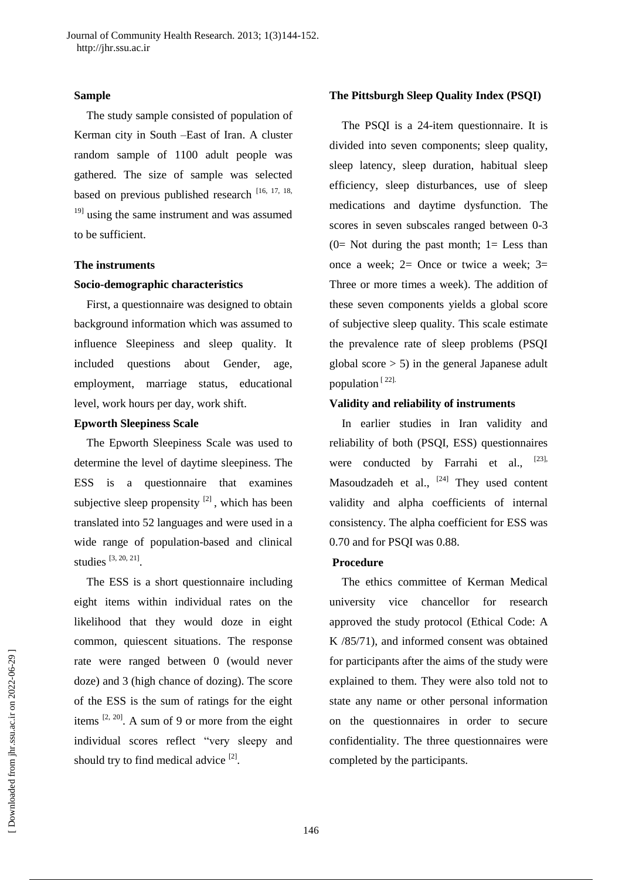#### **Sample**

The study sample consisted of population of Kerman city in South –East of Iran. A cluster random sample of 1100 adult people was gathered. The size of sample was selected based on previous published research [16, 17, 18, <sup>19]</sup> using the same instrument and was assumed to be sufficient.

### **The instruments**

### **Socio-demographic characteristics**

First, a questionnaire was designed to obtain background information which was assumed to influence Sleepiness and sleep quality. It included questions about Gender, age, employment, marriage status, educational level, work hours per day, work shift.

### **Epworth Sleepiness Scale**

The Epworth Sleepiness Scale was used to determine the level of daytime sleepiness. The ESS is a questionnaire that examines subjective sleep propensity  $[2]$ , which has been translated into 52 languages and were used in a wide range of population-based and clinical studies  $[3, 20, 21]$ .

The ESS is a short questionnaire including eight items within individual rates on the likelihood that they would doze in eight common, quiescent situations. The response rate were ranged between 0 (would never doze) and 3 (high chance of dozing). The score of the ESS is the sum of ratings for the eight items  $[2, 20]$ . A sum of 9 or more from the eight individual scores reflect "very sleepy and should try to find medical advice  $[2]$ .

### **The Pittsburgh Sleep Quality Index (PSQI)**

The PSQI is a 24-item questionnaire. It is divided into seven components; sleep quality, sleep latency, sleep duration, habitual sleep efficiency, sleep disturbances, use of sleep medications and daytime dysfunction. The scores in seven subscales ranged between 0-3  $(0=$  Not during the past month;  $1=$  Less than once a week;  $2=$  Once or twice a week;  $3=$ Three or more times a week). The addition of these seven components yields a global score of subjective sleep quality. This scale estimate the prevalence rate of sleep problems (PSQI global score > 5) in the general Japanese adult population  $[22]$ .

### **Validity and reliability of instruments**

In earlier studies in Iran validity and reliability of both (PSQI, ESS) questionnaires were conducted by Farrahi et al., Masoudzadeh et al.,  $[24]$  They used content validity and alpha coefficients of internal consistency. The alpha coefficient for ESS was 0.70 and for PSQI was 0.88.

### **Procedure**

The ethics committee of Kerman Medical university vice chancellor for research approved the study protocol (Ethical Code: A K /85/71), and informed consent was obtained for participants after the aims of the study were explained to them. They were also told not to state any name or other personal information on the questionnaires in order to secure confidentiality. The three questionnaires were completed by the participants.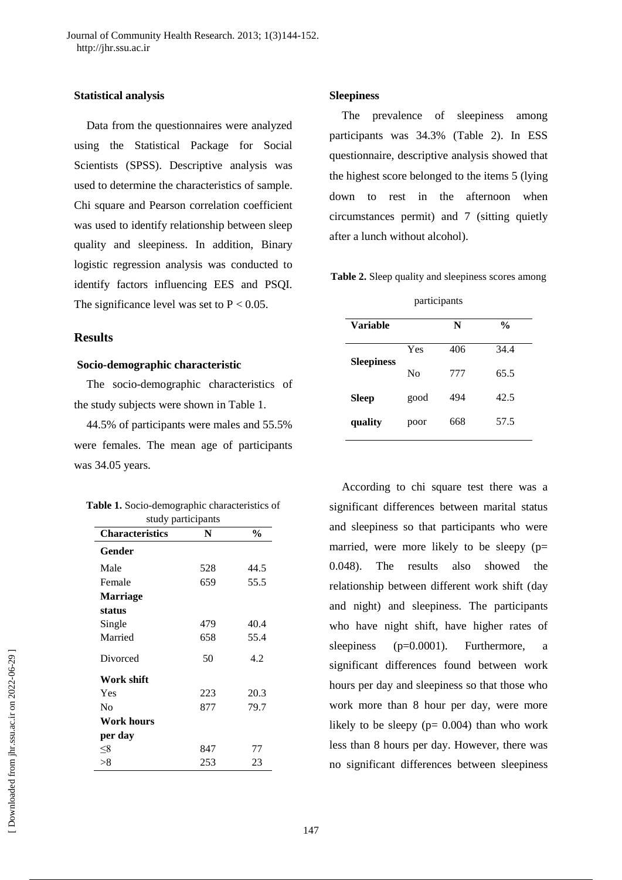### **Statistical analysis**

Data from the questionnaires were analyzed using the Statistical Package for Social Scientists (SPSS). Descriptive analysis was used to determine the characteristics of sample. Chi square and Pearson correlation coefficient was used to identify relationship between sleep quality and sleepiness. In addition, Binary logistic regression analysis was conducted to identify factors influencing EES and PSQI. The significance level was set to  $P < 0.05$ .

#### **Results**

### **Socio-demographic characteristic**

The socio-demographic characteristics of the study subjects were shown in Table 1.

44.5% of participants were males and 55.5% were females. The mean age of participants was 34.05 years.

| Table 1. Socio-demographic characteristics of |  |
|-----------------------------------------------|--|
| study participants                            |  |

| stuu y participants    |     |               |  |  |  |  |
|------------------------|-----|---------------|--|--|--|--|
| <b>Characteristics</b> | N   | $\frac{6}{9}$ |  |  |  |  |
| Gender                 |     |               |  |  |  |  |
| Male                   | 528 | 44.5          |  |  |  |  |
| Female                 | 659 | 55.5          |  |  |  |  |
| <b>Marriage</b>        |     |               |  |  |  |  |
| status                 |     |               |  |  |  |  |
| Single                 | 479 | 40.4          |  |  |  |  |
| Married                | 658 | 55.4          |  |  |  |  |
| Divorced               | 50  | 4.2           |  |  |  |  |
| Work shift             |     |               |  |  |  |  |
| Yes                    | 223 | 20.3          |  |  |  |  |
| No                     | 877 | 79.7          |  |  |  |  |
| Work hours             |     |               |  |  |  |  |
| per day                |     |               |  |  |  |  |
| <8                     | 847 | 77            |  |  |  |  |
| >8                     | 253 | 23            |  |  |  |  |

#### **Sleepiness**

The prevalence of sleepiness among participants was 34.3% (Table 2). In ESS questionnaire, descriptive analysis showed that the highest score belonged to the items 5 (lying down to rest in the afternoon when circumstances permit) and 7 (sitting quietly after a lunch without alcohol).

**Table 2.** Sleep quality and sleepiness scores among

|  | participants |
|--|--------------|

| Variable          |      | N   | $\frac{0}{0}$ |
|-------------------|------|-----|---------------|
| <b>Sleepiness</b> | Yes  | 406 | 34.4          |
|                   | No   | 777 | 65.5          |
| <b>Sleep</b>      | good | 494 | 42.5          |
| quality           | poor | 668 | 57.5          |

According to chi square test there was a significant differences between marital status and sleepiness so that participants who were married, were more likely to be sleepy  $(p=$ 0.048). The results also showed the relationship between different work shift (day and night) and sleepiness. The participants who have night shift, have higher rates of sleepiness (p=0.0001). Furthermore, a significant differences found between work hours per day and sleepiness so that those who work more than 8 hour per day, were more likely to be sleepy  $(p= 0.004)$  than who work less than 8 hours per day. However, there was no significant differences between sleepiness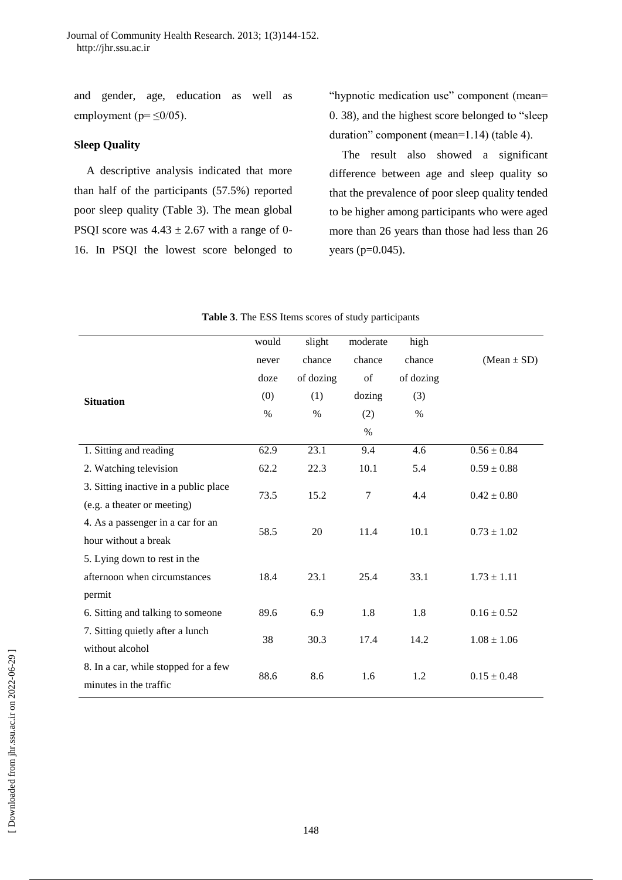and gender, age, education as well as employment ( $p = \leq 0/05$ ).

### **Sleep Quality**

A descriptive analysis indicated that more than half of the participants (57.5%) reported poor sleep quality (Table 3). The mean global PSQI score was  $4.43 \pm 2.67$  with a range of 0-16. In PSQI the lowest score belonged to "hypnotic medication use" component (mean= 0. 38), and the highest score belonged to "sleep duration" component (mean=1.14) (table 4).

The result also showed a significant difference between age and sleep quality so that the prevalence of poor sleep quality tended to be higher among participants who were aged more than 26 years than those had less than 26 years (p=0.045).

| would | slight                     | moderate                  | high                     |                            |
|-------|----------------------------|---------------------------|--------------------------|----------------------------|
| never | chance                     | chance                    | chance                   | $(Mean \pm SD)$            |
| doze  | of dozing                  | of                        | of dozing                |                            |
| (0)   | (1)                        | dozing                    | (3)                      |                            |
| $\%$  | $\%$                       | (2)                       | $\%$                     |                            |
|       |                            | $\%$                      |                          |                            |
| 62.9  | 23.1                       | 9.4                       | 4.6                      | $0.56 \pm 0.84$            |
| 62.2  | 22.3                       | 10.1                      | 5.4                      | $0.59 \pm 0.88$            |
|       |                            |                           |                          | $0.42 \pm 0.80$            |
|       |                            |                           |                          |                            |
|       |                            |                           |                          | $0.73 \pm 1.02$            |
|       |                            |                           |                          |                            |
|       |                            |                           |                          |                            |
| 18.4  | 23.1                       | 25.4                      | 33.1                     | $1.73 \pm 1.11$            |
|       |                            |                           |                          |                            |
| 89.6  | 6.9                        | 1.8                       | 1.8                      | $0.16 \pm 0.52$            |
|       |                            |                           |                          | $1.08 \pm 1.06$            |
|       |                            |                           |                          |                            |
|       |                            |                           |                          | $0.15 \pm 0.48$            |
|       |                            |                           |                          |                            |
|       | 73.5<br>58.5<br>38<br>88.6 | 15.2<br>20<br>30.3<br>8.6 | 7<br>11.4<br>17.4<br>1.6 | 4.4<br>10.1<br>14.2<br>1.2 |

| Table 3. The ESS Items scores of study participants |  |  |  |
|-----------------------------------------------------|--|--|--|
|-----------------------------------------------------|--|--|--|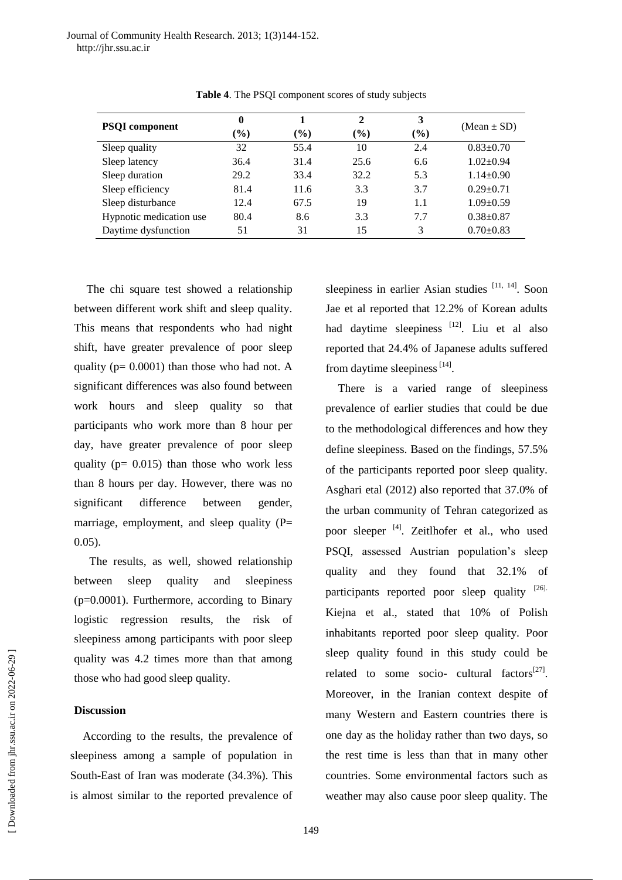| <b>PSQI</b> component   | $\bf{0}$ |                              | $\mathbf{2}$ | 3   | $(Mean \pm SD)$ |
|-------------------------|----------|------------------------------|--------------|-----|-----------------|
|                         | $(\%)$   | $\left( \frac{0}{0} \right)$ | $(\%)$       | (%) |                 |
| Sleep quality           | 32       | 55.4                         | 10           | 2.4 | $0.83 \pm 0.70$ |
| Sleep latency           | 36.4     | 31.4                         | 25.6         | 6.6 | $1.02 \pm 0.94$ |
| Sleep duration          | 29.2     | 33.4                         | 32.2         | 5.3 | $1.14 \pm 0.90$ |
| Sleep efficiency        | 81.4     | 11.6                         | 3.3          | 3.7 | $0.29 \pm 0.71$ |
| Sleep disturbance       | 12.4     | 67.5                         | 19           | 1.1 | $1.09 \pm 0.59$ |
| Hypnotic medication use | 80.4     | 8.6                          | 3.3          | 7.7 | $0.38 + 0.87$   |
| Daytime dysfunction     | 51       | 31                           | 15           | 3   | $0.70 \pm 0.83$ |

**Table 4**. The PSQI component scores of study subjects

The chi square test showed a relationship between different work shift and sleep quality. This means that respondents who had night shift, have greater prevalence of poor sleep quality ( $p= 0.0001$ ) than those who had not. A significant differences was also found between work hours and sleep quality so that participants who work more than 8 hour per day, have greater prevalence of poor sleep quality ( $p= 0.015$ ) than those who work less than 8 hours per day. However, there was no significant difference between gender, marriage, employment, and sleep quality (P= 0.05).

The results, as well, showed relationship between sleep quality and sleepiness  $(p=0.0001)$ . Furthermore, according to Binary logistic regression results, the risk of sleepiness among participants with poor sleep quality was 4.2 times more than that among those who had good sleep quality.

### **Discussion**

According to the results, the prevalence of sleepiness among a sample of population in South-East of Iran was moderate (34.3%). This is almost similar to the reported prevalence of

sleepiness in earlier Asian studies [11, 14]. Soon Jae et al reported that 12.2% of Korean adults had daytime sleepiness<sup>[12]</sup>. Liu et al also reported that 24.4% of Japanese adults suffered from daytime sleepiness  $[14]$ .

There is a varied range of sleepiness prevalence of earlier studies that could be due to the methodological differences and how they define sleepiness. Based on the findings, 57.5% of the participants reported poor sleep quality. Asghari etal (2012) also reported that 37.0% of the urban community of Tehran categorized as poor sleeper <sup>[4]</sup>. Zeitlhofer et al., who used PSQI, assessed Austrian population's sleep quality and they found that 32.1% of participants reported poor sleep quality [26]. Kiejna et al., stated that 10% of Polish inhabitants reported poor sleep quality. Poor sleep quality found in this study could be related to some socio- cultural factors<sup>[27]</sup>. Moreover, in the Iranian context despite of many Western and Eastern countries there is one day as the holiday rather than two days, so the rest time is less than that in many other countries. Some environmental factors such as weather may also cause poor sleep quality. The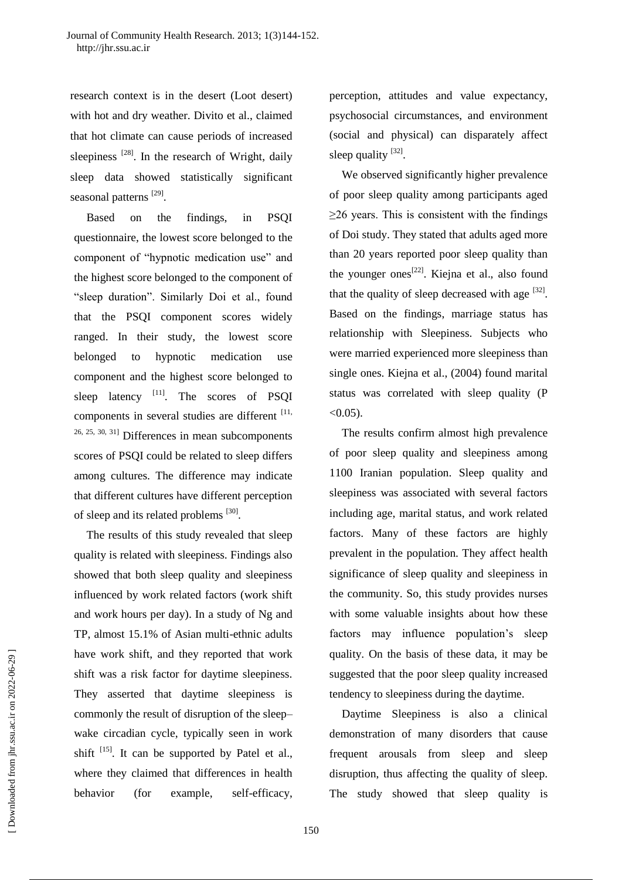research context is in the desert (Loot desert) with hot and dry weather. Divito et al., claimed that hot climate can cause periods of increased sleepiness  $[28]$ . In the research of Wright, daily sleep data showed statistically significant seasonal patterns [29].

Based on the findings, in PSQI questionnaire, the lowest score belonged to the component of "hypnotic medication use" and the highest score belonged to the component of "sleep duration". Similarly Doi et al., found that the PSQI component scores widely ranged. In their study, the lowest score belonged to hypnotic medication use component and the highest score belonged to sleep latency <sup>[11]</sup>. The scores of PSQI components in several studies are different [11, 26, 25, 30, 31] Differences in mean subcomponents scores of PSQI could be related to sleep differs among cultures. The difference may indicate that different cultures have different perception of sleep and its related problems [30].

The results of this study revealed that sleep quality is related with sleepiness. Findings also showed that both sleep quality and sleepiness influenced by work related factors (work shift and work hours per day). In a study of Ng and TP, almost 15.1% of Asian multi-ethnic adults have work shift, and they reported that work shift was a risk factor for daytime sleepiness. They asserted that daytime sleepiness is commonly the result of disruption of the sleep– wake circadian cycle, typically seen in work shift  $^{[15]}$ . It can be supported by Patel et al., where they claimed that differences in health behavior (for example, self-efficacy,

perception, attitudes and value expectancy, psychosocial circumstances, and environment (social and physical) can disparately affect sleep quality  $[32]$ .

We observed significantly higher prevalence of poor sleep quality among participants aged ≥26 years. This is consistent with the findings of Doi study. They stated that adults aged more than 20 years reported poor sleep quality than the younger ones<sup>[22]</sup>. Kiejna et al., also found that the quality of sleep decreased with age  $[32]$ . Based on the findings, marriage status has relationship with Sleepiness. Subjects who were married experienced more sleepiness than single ones. Kiejna et al., (2004) found marital status was correlated with sleep quality (P  $< 0.05$ ).

The results confirm almost high prevalence of poor sleep quality and sleepiness among 1100 Iranian population. Sleep quality and sleepiness was associated with several factors including age, marital status, and work related factors. Many of these factors are highly prevalent in the population. They affect health significance of sleep quality and sleepiness in the community. So, this study provides nurses with some valuable insights about how these factors may influence population's sleep quality. On the basis of these data, it may be suggested that the poor sleep quality increased tendency to sleepiness during the daytime.

Daytime Sleepiness is also a clinical demonstration of many disorders that cause frequent arousals from sleep and sleep disruption, thus affecting the quality of sleep. The study showed that sleep quality is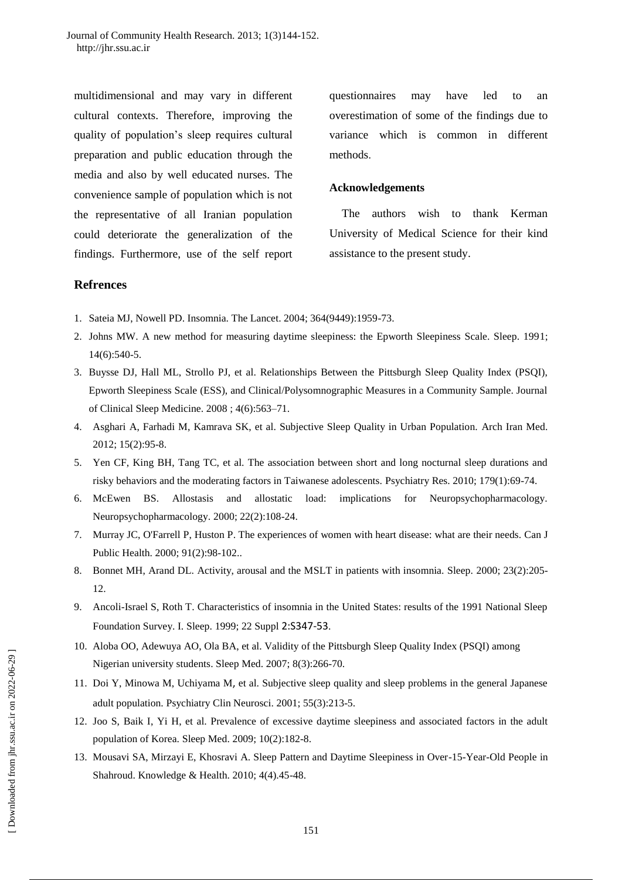multidimensional and may vary in different cultural contexts. Therefore, improving the quality of population's sleep requires cultural preparation and public education through the media and also by well educated nurses. The convenience sample of population which is not the representative of all Iranian population could deteriorate the generalization of the findings. Furthermore, use of the self report questionnaires may have led to an overestimation of some of the findings due to variance which is common in different methods.

#### **Acknowledgements**

The authors wish to thank Kerman University of Medical Science for their kind assistance to the present study.

### **Refrences**

- 1. Sateia MJ, Nowell PD. Insomnia. The Lancet. 2004; 364(9449):1959-73.
- 2. Johns MW. A new method for measuring daytime sleepiness: the Epworth Sleepiness Scale. Sleep. 1991; 14(6):540-5.
- 3. Buysse DJ, [Hall](http://www.ncbi.nlm.nih.gov/pubmed/?term=Hall%20ML%5Bauth%5D) ML, [Strollo](http://www.ncbi.nlm.nih.gov/pubmed/?term=Strollo%20PJ%5Bauth%5D) PJ, et al. Relationships Between the Pittsburgh Sleep Quality Index (PSQI), Epworth Sleepiness Scale (ESS), and Clinical/Polysomnographic Measures in a Community Sample. Journal of Clinical Sleep Medicine. 2008 ; 4(6):563–71.
- 4. [Asghari A,](http://www.ncbi.nlm.nih.gov/pubmed?term=Asghari%20A%5BAuthor%5D&cauthor=true&cauthor_uid=22292580) [Farhadi M,](http://www.ncbi.nlm.nih.gov/pubmed?term=Farhadi%20M%5BAuthor%5D&cauthor=true&cauthor_uid=22292580) [Kamrava SK,](http://www.ncbi.nlm.nih.gov/pubmed?term=Kamrava%20SK%5BAuthor%5D&cauthor=true&cauthor_uid=22292580) et al. Subjective Sleep Quality in Urban Population. [Arch Iran Med.](http://www.ncbi.nlm.nih.gov/pubmed/22292580) 2012; 15(2):95-8.
- 5. [Yen CF,](http://www.ncbi.nlm.nih.gov/pubmed?term=Yen%20CF%5BAuthor%5D&cauthor=true&cauthor_uid=20472300) [King BH,](http://www.ncbi.nlm.nih.gov/pubmed?term=King%20BH%5BAuthor%5D&cauthor=true&cauthor_uid=20472300) [Tang TC,](http://www.ncbi.nlm.nih.gov/pubmed?term=Tang%20TC%5BAuthor%5D&cauthor=true&cauthor_uid=20472300) et al. The association between short and long nocturnal sleep durations and risky behaviors and the moderating factors in Taiwanese adolescents. [Psychiatry Res.](http://www.ncbi.nlm.nih.gov/pubmed/20472300) 2010; 179(1):69-74.
- 6. [McEwen BS.](http://www.ncbi.nlm.nih.gov/pubmed?term=McEwen%20BS%5BAuthor%5D&cauthor=true&cauthor_uid=10649824) Allostasis and allostatic load: implications for Neuropsychopharmacology. [Neuropsychopharmacology.](http://www.ncbi.nlm.nih.gov/pubmed/10649824) 2000; 22(2):108-24.
- 7. [Murray JC,](http://www.ncbi.nlm.nih.gov/pubmed?term=Murray%20JC%5BAuthor%5D&cauthor=true&cauthor_uid=10832171) [O'Farrell P,](http://www.ncbi.nlm.nih.gov/pubmed?term=O%27Farrell%20P%5BAuthor%5D&cauthor=true&cauthor_uid=10832171) [Huston P.](http://www.ncbi.nlm.nih.gov/pubmed?term=Huston%20P%5BAuthor%5D&cauthor=true&cauthor_uid=10832171) The experiences of women with heart disease: what are their needs. [Can J](http://www.ncbi.nlm.nih.gov/pubmed/10832171)  [Public Health.](http://www.ncbi.nlm.nih.gov/pubmed/10832171) 2000; 91(2):98-102..
- 8. [Bonnet MH,](http://www.ncbi.nlm.nih.gov/pubmed?term=Bonnet%20MH%5BAuthor%5D&cauthor=true&cauthor_uid=10737337) [Arand DL.](http://www.ncbi.nlm.nih.gov/pubmed?term=Arand%20DL%5BAuthor%5D&cauthor=true&cauthor_uid=10737337) Activity, arousal and the MSLT in patients with insomnia. [Sleep.](http://www.ncbi.nlm.nih.gov/pubmed/10737337) 2000; 23(2):205- 12.
- 9. [Ancoli-Israel S,](http://www.ncbi.nlm.nih.gov/pubmed?term=Ancoli-Israel%20S%5BAuthor%5D&cauthor=true&cauthor_uid=10394606) [Roth T.](http://www.ncbi.nlm.nih.gov/pubmed?term=Roth%20T%5BAuthor%5D&cauthor=true&cauthor_uid=10394606) Characteristics of insomnia in the United States: results of the 1991 National Sleep Foundation Survey. I. [Sleep.](http://www.ncbi.nlm.nih.gov/pubmed/10394606) 1999; 22 Suppl 2:S347-53.
- 10. [Aloba OO,](http://www.ncbi.nlm.nih.gov/pubmed?term=Aloba%20OO%5BAuthor%5D&cauthor=true&cauthor_uid=17368977) [Adewuya AO,](http://www.ncbi.nlm.nih.gov/pubmed?term=Adewuya%20AO%5BAuthor%5D&cauthor=true&cauthor_uid=17368977) [Ola BA,](http://www.ncbi.nlm.nih.gov/pubmed?term=Ola%20BA%5BAuthor%5D&cauthor=true&cauthor_uid=17368977) et al. Validity of the Pittsburgh Sleep Quality Index (PSQI) among Nigerian university students. [Sleep Med.](http://www.ncbi.nlm.nih.gov/pubmed/17368977) 2007; 8(3):266-70.
- 11. [Doi Y,](http://www.ncbi.nlm.nih.gov/pubmed?term=Doi%20Y%5BAuthor%5D&cauthor=true&cauthor_uid=11422846) [Minowa M,](http://www.ncbi.nlm.nih.gov/pubmed?term=Minowa%20M%5BAuthor%5D&cauthor=true&cauthor_uid=11422846) [Uchiyama M](http://www.ncbi.nlm.nih.gov/pubmed?term=Uchiyama%20M%5BAuthor%5D&cauthor=true&cauthor_uid=11422846), et al. Subjective sleep quality and sleep problems in the general Japanese adult population. [Psychiatry Clin Neurosci.](http://www.ncbi.nlm.nih.gov/pubmed/11422846) 2001; 55(3):213-5.
- 12. [Joo S,](http://www.ncbi.nlm.nih.gov/pubmed?term=Joo%20S%5BAuthor%5D&cauthor=true&cauthor_uid=18684665) [Baik I,](http://www.ncbi.nlm.nih.gov/pubmed?term=Baik%20I%5BAuthor%5D&cauthor=true&cauthor_uid=18684665) [Yi H,](http://www.ncbi.nlm.nih.gov/pubmed?term=Yi%20H%5BAuthor%5D&cauthor=true&cauthor_uid=18684665) et al. Prevalence of excessive daytime sleepiness and associated factors in the adult population of Korea. [Sleep Med.](http://www.ncbi.nlm.nih.gov/pubmed/18684665) 2009; 10(2):182-8.
- 13. Mousavi SA, Mirzayi E, Khosravi A. Sleep Pattern and Daytime Sleepiness in Over-15-Year-Old People in Shahroud. Knowledge & Health. 2010; 4(4).45-48.